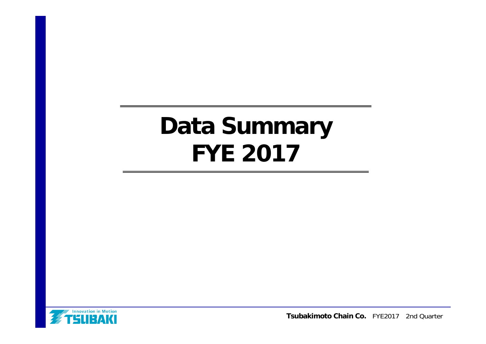# **Data Summary FYE 2017**



**Tsubakimoto Chain Co.** FYE2017 2nd Quarter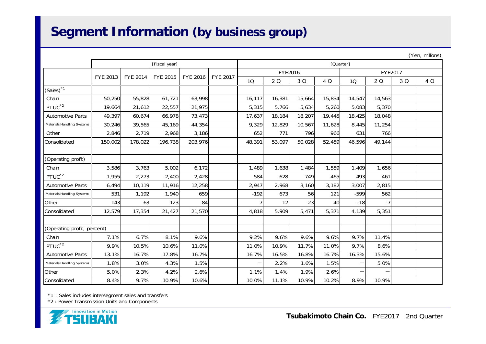### **Segment Information (by business group)**

|                             |          |                 |                 |                 |                 |           |         |        |                 |        |         |     | (Yen, millions) |
|-----------------------------|----------|-----------------|-----------------|-----------------|-----------------|-----------|---------|--------|-----------------|--------|---------|-----|-----------------|
|                             |          |                 | [Fiscal year]   |                 |                 | [Quarter] |         |        |                 |        |         |     |                 |
|                             | FYE 2013 | <b>FYE 2014</b> | <b>FYE 2015</b> | <b>FYE 2016</b> | <b>FYE 2017</b> |           | FYE2016 |        |                 |        | FYE2017 |     |                 |
|                             |          |                 |                 |                 |                 | <b>1Q</b> | 2Q      | 3 Q    | 4 Q             | 10     | 2Q      | 3 Q | 4 Q             |
| $(Sales)^*$ <sup>1</sup>    |          |                 |                 |                 |                 |           |         |        |                 |        |         |     |                 |
| Chain                       | 50,250   | 55,828          | 61,721          | 63,998          |                 | 16,117    | 16,381  | 15,664 | 15,834          | 14,547 | 14,563  |     |                 |
| PTUC <sup>*2</sup>          | 19,664   | 21,612          | 22,557          | 21,975          |                 | 5,315     | 5,766   | 5,634  | 5,260           | 5,083  | 5,370   |     |                 |
| <b>Automotive Parts</b>     | 49,397   | 60,674          | 66,978          | 73,473          |                 | 17,637    | 18,184  | 18,207 | 19,445          | 18,425 | 18,048  |     |                 |
| Materials Handling Systems  | 30,246   | 39,565          | 45,169          | 44,354          |                 | 9,329     | 12,829  | 10,567 | 11,628          | 8,445  | 11,254  |     |                 |
| Other                       | 2,846    | 2,719           | 2,968           | 3,186           |                 | 652       | 771     | 796    | 966             | 631    | 766     |     |                 |
| Consolidated                | 150,002  | 178,022         | 196,738         | 203,976         |                 | 48,391    | 53,097  | 50,028 | 52,459          | 46,596 | 49,144  |     |                 |
|                             |          |                 |                 |                 |                 |           |         |        |                 |        |         |     |                 |
| (Operating profit)          |          |                 |                 |                 |                 |           |         |        |                 |        |         |     |                 |
| Chain                       | 3,586    | 3,763           | 5,002           | 6,172           |                 | 1,489     | 1,638   | 1,484  | 1,559           | 1,409  | 1,656   |     |                 |
| PTUC <sup>*2</sup>          | 1,955    | 2,273           | 2,400           | 2,428           |                 | 584       | 628     | 749    | 465             | 493    | 461     |     |                 |
| <b>Automotive Parts</b>     | 6,494    | 10,119          | 11,916          | 12,258          |                 | 2,947     | 2,968   | 3,160  | 3,182           | 3,007  | 2,815   |     |                 |
| Materials Handling Systems  | 531      | 1,192           | 1,940           | 659             |                 | $-192$    | 673     | 56     | 121             | $-599$ | 562     |     |                 |
| Other                       | 143      | 63              | 123             | 84              |                 |           | 12      | 23     | 40 <sup>1</sup> | $-18$  | -7      |     |                 |
| Consolidated                | 12,579   | 17,354          | 21,427          | 21,570          |                 | 4,818     | 5,909   | 5,471  | 5,371           | 4,139  | 5,351   |     |                 |
|                             |          |                 |                 |                 |                 |           |         |        |                 |        |         |     |                 |
| (Operating profit, percent) |          |                 |                 |                 |                 |           |         |        |                 |        |         |     |                 |
| Chain                       | 7.1%     | 6.7%            | 8.1%            | 9.6%            |                 | 9.2%      | 9.6%    | 9.6%   | 9.6%            | 9.7%   | 11.4%   |     |                 |
| PTUC <sup>*2</sup>          | 9.9%     | 10.5%           | 10.6%           | 11.0%           |                 | 11.0%     | 10.9%   | 11.7%  | 11.0%           | 9.7%   | 8.6%    |     |                 |
| <b>Automotive Parts</b>     | 13.1%    | 16.7%           | 17.8%           | 16.7%           |                 | 16.7%     | 16.5%   | 16.8%  | 16.7%           | 16.3%  | 15.6%   |     |                 |
| Materials Handling Systems  | 1.8%     | 3.0%            | 4.3%            | 1.5%            |                 | —         | 2.2%    | 1.6%   | 1.5%            |        | 5.0%    |     |                 |
| Other                       | 5.0%     | 2.3%            | 4.2%            | 2.6%            |                 | 1.1%      | 1.4%    | 1.9%   | 2.6%            |        |         |     |                 |
| Consolidated                | 8.4%     | 9.7%            | 10.9%           | 10.6%           |                 | 10.0%     | 11.1%   | 10.9%  | 10.2%           | 8.9%   | 10.9%   |     |                 |

\*1 : Sales includes intersegment sales and transfers

\*2 : Power Transmission Units and Components

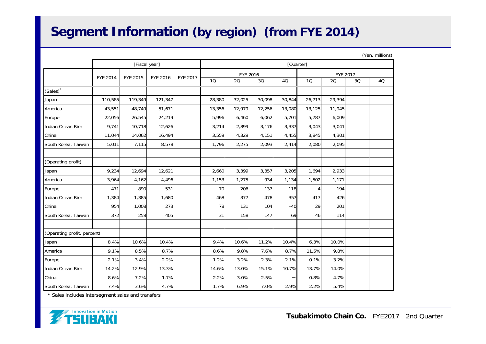## **Segment Information (by region) (from FYE 2014)**

|                             |                 |                 |                 |                 |           |          |        |        |                 |        |    | (Yen, millions) |  |
|-----------------------------|-----------------|-----------------|-----------------|-----------------|-----------|----------|--------|--------|-----------------|--------|----|-----------------|--|
|                             |                 | [Fiscal year]   |                 |                 | [Quarter] |          |        |        |                 |        |    |                 |  |
|                             | <b>FYE 2014</b> | <b>FYE 2015</b> | <b>FYE 2016</b> | <b>FYE 2017</b> |           | FYE 2016 |        |        | <b>FYE 2017</b> |        |    |                 |  |
|                             |                 |                 |                 |                 | 10        | 20       | 3Q     | 4Q     | 10              | 20     | 3Q | 4Q              |  |
| (Sales) <sup>*</sup>        |                 |                 |                 |                 |           |          |        |        |                 |        |    |                 |  |
| Japan                       | 110,585         | 119,349         | 121,347         |                 | 28,380    | 32,025   | 30,098 | 30,844 | 26,713          | 29,394 |    |                 |  |
| America                     | 43,551          | 48,749          | 51,671          |                 | 13,356    | 12,979   | 12,256 | 13,080 | 13,125          | 11,945 |    |                 |  |
| Europe                      | 22,056          | 26,545          | 24,219          |                 | 5,996     | 6,460    | 6,062  | 5,701  | 5,787           | 6,009  |    |                 |  |
| Indian Ocean Rim            | 9,741           | 10,718          | 12,626          |                 | 3,214     | 2,899    | 3,176  | 3,337  | 3,043           | 3,041  |    |                 |  |
| China                       | 11,044          | 14,062          | 16,494          |                 | 3,559     | 4,329    | 4,151  | 4,455  | 3,845           | 4,301  |    |                 |  |
| South Korea, Taiwan         | 5,011           | 7,115           | 8,578           |                 | 1,796     | 2,275    | 2,093  | 2,414  | 2,080           | 2,095  |    |                 |  |
|                             |                 |                 |                 |                 |           |          |        |        |                 |        |    |                 |  |
| (Operating profit)          |                 |                 |                 |                 |           |          |        |        |                 |        |    |                 |  |
| Japan                       | 9,234           | 12,694          | 12,621          |                 | 2,660     | 3,399    | 3,357  | 3,205  | 1,694           | 2,933  |    |                 |  |
| America                     | 3,964           | 4,162           | 4,496           |                 | 1,153     | 1,275    | 934    | 1,134  | 1,502           | 1,171  |    |                 |  |
| Europe                      | 471             | 890             | 531             |                 | 70        | 206      | 137    | 118    | $\overline{4}$  | 194    |    |                 |  |
| Indian Ocean Rim            | 1,384           | 1,385           | 1,680           |                 | 468       | 377      | 478    | 357    | 417             | 426    |    |                 |  |
| China                       | 954             | 1,008           | 273             |                 | 78        | 131      | 104    | $-40$  | 29              | 201    |    |                 |  |
| South Korea, Taiwan         | 372             | 258             | 405             |                 | 31        | 158      | 147    | 69     | 46              | 114    |    |                 |  |
|                             |                 |                 |                 |                 |           |          |        |        |                 |        |    |                 |  |
| (Operating profit, percent) |                 |                 |                 |                 |           |          |        |        |                 |        |    |                 |  |
| Japan                       | 8.4%            | 10.6%           | 10.4%           |                 | 9.4%      | 10.6%    | 11.2%  | 10.4%  | 6.3%            | 10.0%  |    |                 |  |
| America                     | 9.1%            | 8.5%            | 8.7%            |                 | 8.6%      | 9.8%     | 7.6%   | 8.7%   | 11.5%           | 9.8%   |    |                 |  |
| Europe                      | 2.1%            | 3.4%            | 2.2%            |                 | 1.2%      | 3.2%     | 2.3%   | 2.1%   | 0.1%            | 3.2%   |    |                 |  |
| Indian Ocean Rim            | 14.2%           | 12.9%           | 13.3%           |                 | 14.6%     | 13.0%    | 15.1%  | 10.7%  | 13.7%           | 14.0%  |    |                 |  |
| China                       | 8.6%            | 7.2%            | 1.7%            |                 | 2.2%      | 3.0%     | 2.5%   |        | 0.8%            | 4.7%   |    |                 |  |
| South Korea, Taiwan         | 7.4%            | 3.6%            | 4.7%            |                 | 1.7%      | 6.9%     | 7.0%   | 2.9%   | 2.2%            | 5.4%   |    |                 |  |

\* Sales includes intersegment sales and transfers

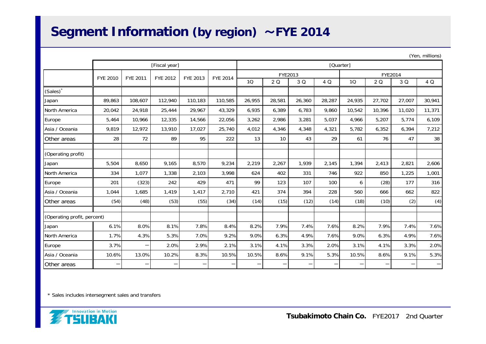#### **Segment Information (by region)** ~**FYE 2014**

|                             |          |                          |                          |                                  |                 |           |         |                   |        |        |         |        | $($ ren, millions) |
|-----------------------------|----------|--------------------------|--------------------------|----------------------------------|-----------------|-----------|---------|-------------------|--------|--------|---------|--------|--------------------|
|                             |          |                          | [Fiscal year]            |                                  |                 | [Quarter] |         |                   |        |        |         |        |                    |
|                             | FYE 2010 | FYE 2011                 | FYE 2012                 | FYE 2013                         | <b>FYE 2014</b> |           | FYE2013 |                   |        |        | FYE2014 |        |                    |
|                             |          |                          |                          |                                  |                 | 10        | 2Q      | 3 Q               | 4 Q    | 1Q     | 2 Q     | 3 Q    | 4 Q                |
| (Sales)                     |          |                          |                          |                                  |                 |           |         |                   |        |        |         |        |                    |
| Japan                       | 89,863   | 108,607                  | 112,940                  | 110,183                          | 110,585         | 26,955    | 28,581  | 26,360            | 28,287 | 24,935 | 27,702  | 27,007 | 30,941             |
| North America               | 20,042   | 24,918                   | 25,444                   | 29,967                           | 43,329          | 6,935     | 6,389   | 6,783             | 9,860  | 10,542 | 10,396  | 11,020 | 11,371             |
| Europe                      | 5,464    | 10,966                   | 12,335                   | 14,566                           | 22,056          | 3,262     | 2,986   | 3,281             | 5,037  | 4,966  | 5,207   | 5,774  | 6,109              |
| Asia / Oceania              | 9,819    | 12,972                   | 13,910                   | 17,027                           | 25,740          | 4,012     | 4,346   | 4,348             | 4,321  | 5,782  | 6,352   | 6,394  | 7,212              |
| Other areas                 | 28       | 72                       | 89                       | 95                               | 222             | 13        | 10      | 43                | 29     | 61     | 76      | 47     | 38                 |
| (Operating profit)          |          |                          |                          |                                  |                 |           |         |                   |        |        |         |        |                    |
| Japan                       | 5,504    | 8,650                    | 9.165                    | 8,570                            | 9,234           | 2,219     | 2,267   | 1.939             | 2,145  | 1.394  | 2,413   | 2,821  | 2,606              |
| North America               | 334      | 1,077                    | 1,338                    | 2,103                            | 3,998           | 624       | 402     | 331               | 746    | 922    | 850     | 1,225  | 1,001              |
| Europe                      | 201      | (323)                    | 242                      | 429                              | 471             | 99        | 123     | 107               | 100    | 6      | (28)    | 177    | 316                |
| Asia / Oceania              | 1,044    | 1,685                    | 1,419                    | 1,417                            | 2,710           | 421       | 374     | 394               | 228    | 560    | 666     | 662    | 822                |
| Other areas                 | (54)     | (48)                     | (53)                     | (55)                             | (34)            | (14)      | (15)    | (12)              | (14)   | (18)   | (10)    | (2)    | (4)                |
| (Operating profit, percent) |          |                          |                          |                                  |                 |           |         |                   |        |        |         |        |                    |
| Japan                       | 6.1%     | 8.0%                     | 8.1%                     | 7.8%                             | 8.4%            | 8.2%      | 7.9%    | 7.4%              | 7.6%   | 8.2%   | 7.9%    | 7.4%   | 7.6%               |
| North America               | 1.7%     | 4.3%                     | 5.3%                     | 7.0%                             | 9.2%            | 9.0%      | 6.3%    | 4.9%              | 7.6%   | 9.0%   | 6.3%    | 4.9%   | 7.6%               |
| Europe                      | 3.7%     | $\overline{\phantom{0}}$ | 2.0%                     | 2.9%                             | 2.1%            | 3.1%      | 4.1%    | 3.3%              | 2.0%   | 3.1%   | 4.1%    | 3.3%   | 2.0%               |
| Asia / Oceania              | 10.6%    | 13.0%                    | 10.2%                    | 8.3%                             | 10.5%           | 10.5%     | 8.6%    | 9.1%              | 5.3%   | 10.5%  | 8.6%    | 9.1%   | 5.3%               |
| Other areas                 | —        | $\overline{\phantom{0}}$ | $\overline{\phantom{0}}$ | $\overbrace{\phantom{12322111}}$ | —               |           |         | $\qquad \qquad -$ |        | —      |         |        | —                  |

\* Sales includes intersegment sales and transfers



 $(Y_n, \ldots, Y_n)$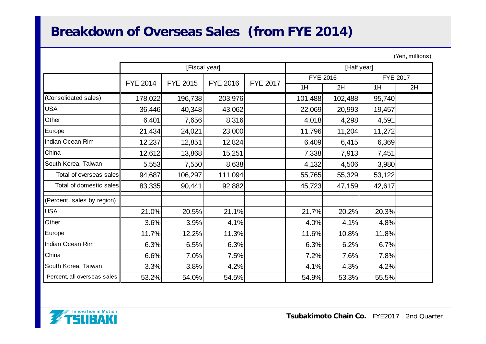# **Breakdown of Overseas Sales (from FYE 2014)**

| (Yen, millions) |
|-----------------|
|                 |

|                             |                 | [Fiscal year]   |                 |                 |          | [Half year] |                 |    |
|-----------------------------|-----------------|-----------------|-----------------|-----------------|----------|-------------|-----------------|----|
|                             | <b>FYE 2014</b> | <b>FYE 2015</b> | <b>FYE 2016</b> | <b>FYE 2017</b> | FYE 2016 |             | <b>FYE 2017</b> |    |
|                             |                 |                 |                 |                 | 1H       | 2H          | 1H              | 2H |
| (Consolidated sales)        | 178,022         | 196,738         | 203,976         |                 | 101,488  | 102,488     | 95,740          |    |
| <b>USA</b>                  | 36,446          | 40,348          | 43,062          |                 | 22,069   | 20,993      | 19,457          |    |
| Other                       | 6,401           | 7,656           | 8,316           |                 | 4,018    | 4,298       | 4,591           |    |
| Europe                      | 21,434          | 24,021          | 23,000          |                 | 11,796   | 11,204      | 11,272          |    |
| Indian Ocean Rim            | 12,237          | 12,851          | 12,824          |                 | 6,409    | 6,415       | 6,369           |    |
| China                       | 12,612          | 13,868          | 15,251          |                 | 7,338    | 7,913       | 7,451           |    |
| South Korea, Taiwan         | 5,553           | 7,550           | 8,638           |                 | 4,132    | 4,506       | 3,980           |    |
| Total of overseas sales     | 94,687          | 106,297         | 111,094         |                 | 55,765   | 55,329      | 53,122          |    |
| Total of domestic sales     | 83,335          | 90,441          | 92,882          |                 | 45,723   | 47,159      | 42,617          |    |
| (Percent, sales by region)  |                 |                 |                 |                 |          |             |                 |    |
| <b>USA</b>                  | 21.0%           | 20.5%           | 21.1%           |                 | 21.7%    | 20.2%       | 20.3%           |    |
| Other                       | 3.6%            | 3.9%            | 4.1%            |                 | 4.0%     | 4.1%        | 4.8%            |    |
| Europe                      | 11.7%           | 12.2%           | 11.3%           |                 | 11.6%    | 10.8%       | 11.8%           |    |
| Indian Ocean Rim            | 6.3%            | 6.5%            | 6.3%            |                 | 6.3%     | 6.2%        | 6.7%            |    |
| China                       | 6.6%            | 7.0%            | 7.5%            |                 | 7.2%     | 7.6%        | 7.8%            |    |
| South Korea, Taiwan         | 3.3%            | 3.8%            | 4.2%            |                 | 4.1%     | 4.3%        | 4.2%            |    |
| Percent, all overseas sales | 53.2%           | 54.0%           | 54.5%           |                 | 54.9%    | 53.3%       | 55.5%           |    |

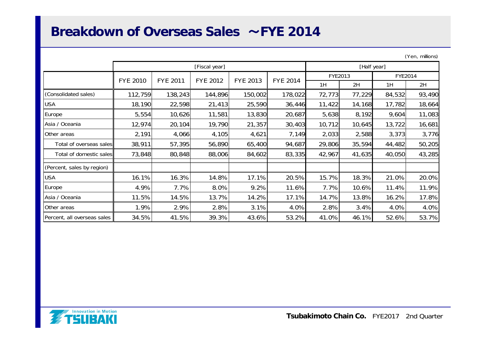#### **Breakdown of Overseas Sales** ~**FYE 2014**

| (Yen, millions) |  |
|-----------------|--|
|                 |  |

|                             |                                    |         | [Fiscal year]   | [Half year] |                 |         |        |         |        |
|-----------------------------|------------------------------------|---------|-----------------|-------------|-----------------|---------|--------|---------|--------|
|                             | <b>FYE 2010</b><br><b>FYE 2011</b> |         | <b>FYE 2012</b> | FYE 2013    | <b>FYE 2014</b> | FYE2013 |        | FYE2014 |        |
|                             |                                    |         |                 |             |                 | 1H      | 2H     | 1H      | 2H     |
| (Consolidated sales)        | 112,759                            | 138,243 | 144,896         | 150,002     | 178,022         | 72,773  | 77,229 | 84,532  | 93,490 |
| <b>USA</b>                  | 18,190                             | 22,598  | 21,413          | 25,590      | 36,446          | 11,422  | 14,168 | 17,782  | 18,664 |
| Europe                      | 5,554                              | 10,626  | 11,581          | 13,830      | 20,687          | 5,638   | 8,192  | 9,604   | 11,083 |
| Asia / Oceania              | 12,974                             | 20,104  | 19,790          | 21,357      | 30,403          | 10,712  | 10,645 | 13,722  | 16,681 |
| Other areas                 | 2,191                              | 4,066   | 4,105           | 4,621       | 7,149           | 2,033   | 2,588  | 3,373   | 3,776  |
| Total of overseas sales     | 38,911                             | 57,395  | 56,890          | 65,400      | 94,687          | 29,806  | 35,594 | 44,482  | 50,205 |
| Total of domestic sales     | 73,848                             | 80,848  | 88,006          | 84,602      | 83,335          | 42,967  | 41,635 | 40,050  | 43,285 |
| (Percent, sales by region)  |                                    |         |                 |             |                 |         |        |         |        |
| <b>USA</b>                  | 16.1%                              | 16.3%   | 14.8%           | 17.1%       | 20.5%           | 15.7%   | 18.3%  | 21.0%   | 20.0%  |
| Europe                      | 4.9%                               | 7.7%    | 8.0%            | 9.2%        | 11.6%           | 7.7%    | 10.6%  | 11.4%   | 11.9%  |
| Asia / Oceania              | 11.5%                              | 14.5%   | 13.7%           | 14.2%       | 17.1%           | 14.7%   | 13.8%  | 16.2%   | 17.8%  |
| Other areas                 | 1.9%                               | 2.9%    | 2.8%            | 3.1%        | 4.0%            | 2.8%    | 3.4%   | 4.0%    | 4.0%   |
| Percent, all overseas sales | 34.5%                              | 41.5%   | 39.3%           | 43.6%       | 53.2%           | 41.0%   | 46.1%  | 52.6%   | 53.7%  |

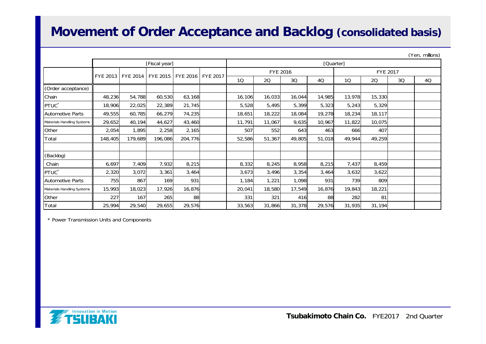#### **Movement of Order Acceptance and Backlog (consolidated basis)**

|                            |          | (Yen, millions) |               |                    |  |           |                      |        |        |           |        |    |    |
|----------------------------|----------|-----------------|---------------|--------------------|--|-----------|----------------------|--------|--------|-----------|--------|----|----|
|                            |          |                 | [Fiscal year] |                    |  | [Quarter] |                      |        |        |           |        |    |    |
|                            |          |                 |               |                    |  |           | FYE 2016<br>FYE 2017 |        |        |           |        |    |    |
|                            | FYE 2013 | <b>FYE 2014</b> | FYE 2015      | FYE 2016 LFYE 2017 |  | 10        | 20                   | 30     | 4Q     | <b>1Q</b> | 20     | 3Q | 4Q |
| (Order acceptance)         |          |                 |               |                    |  |           |                      |        |        |           |        |    |    |
| Chain                      | 48,236   | 54,788          | 60,530        | 63,168             |  | 16,106    | 16,033               | 16,044 | 14,985 | 13,978    | 15,330 |    |    |
| PTUC <sup>*</sup>          | 18,906   | 22,025          | 22,389        | 21,745             |  | 5,528     | 5,495                | 5,399  | 5,323  | 5,243     | 5,329  |    |    |
| <b>Automotive Parts</b>    | 49,555   | 60,785          | 66,279        | 74,235             |  | 18,651    | 18,222               | 18,084 | 19,278 | 18,234    | 18,117 |    |    |
| Materials Handling Systems | 29,652   | 40,194          | 44,627        | 43,460             |  | 11,791    | 11,067               | 9,635  | 10,967 | 11,822    | 10,075 |    |    |
| Other                      | 2,054    | 1,895           | 2,258         | 2,165              |  | 507       | 552                  | 643    | 463    | 666       | 407    |    |    |
| Total                      | 148,405  | 179,689         | 196,086       | 204,776            |  | 52,586    | 51,367               | 49,805 | 51,018 | 49,944    | 49,259 |    |    |
|                            |          |                 |               |                    |  |           |                      |        |        |           |        |    |    |
| (Backlog)                  |          |                 |               |                    |  |           |                      |        |        |           |        |    |    |
| Chain                      | 6,697    | 7,409           | 7,932         | 8,215              |  | 8,332     | 8,245                | 8,958  | 8,215  | 7,437     | 8,459  |    |    |
| PTUC <sup>*</sup>          | 2,320    | 3,072           | 3,361         | 3,464              |  | 3,673     | 3,496                | 3,354  | 3,464  | 3,632     | 3,622  |    |    |
| <b>Automotive Parts</b>    | 755      | 867             | 169           | 931                |  | 1,184     | 1,221                | 1,098  | 931    | 739       | 809    |    |    |
| Materials Handling Systems | 15,993   | 18,023          | 17,926        | 16,876             |  | 20,041    | 18,580               | 17,549 | 16,876 | 19,843    | 18,221 |    |    |
| Other                      | 227      | 167             | 265           | 88                 |  | 331       | 321                  | 416    | 88     | 282       | 81     |    |    |
| Total                      | 25,994   | 29,540          | 29,655        | 29,576             |  | 33,563    | 31,866               | 31,378 | 29,576 | 31,935    | 31,194 |    |    |

\* Power Transmission Units and Components